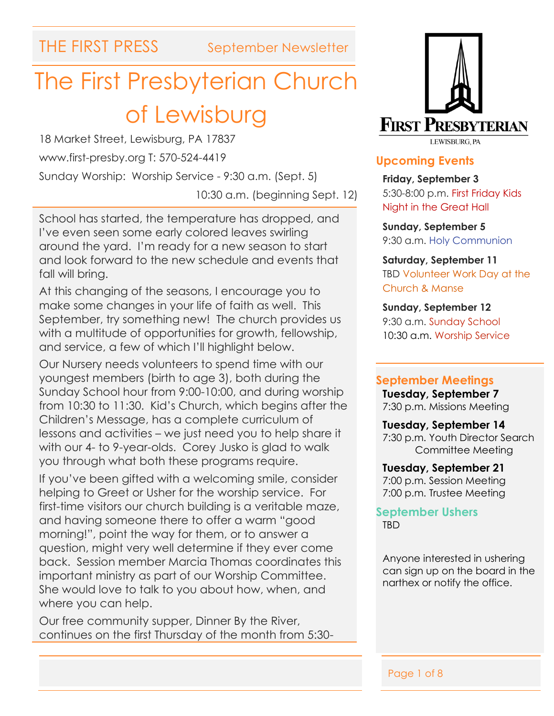# The First Presbyterian Church of Lewisburg

18 Market Street, Lewisburg, PA 17837 www.first-presby.org T: 570-524-4419 Sunday Worship: Worship Service - 9:30 a.m. (Sept. 5)

10:30 a.m. (beginning Sept. 12)

School has started, the temperature has dropped, and I've even seen some early colored leaves swirling around the yard. I'm ready for a new season to start and look forward to the new schedule and events that fall will bring.

At this changing of the seasons, I encourage you to make some changes in your life of faith as well. This September, try something new! The church provides us with a multitude of opportunities for growth, fellowship, and service, a few of which I'll highlight below.

Our Nursery needs volunteers to spend time with our youngest members (birth to age 3), both during the Sunday School hour from 9:00-10:00, and during worship from 10:30 to 11:30. Kid's Church, which begins after the Children's Message, has a complete curriculum of lessons and activities – we just need you to help share it with our 4- to 9-year-olds. Corey Jusko is glad to walk you through what both these programs require.

If you've been gifted with a welcoming smile, consider helping to Greet or Usher for the worship service. For first-time visitors our church building is a veritable maze, and having someone there to offer a warm "good morning!", point the way for them, or to answer a question, might very well determine if they ever come back. Session member Marcia Thomas coordinates this important ministry as part of our Worship Committee. She would love to talk to you about how, when, and where you can help.

Our free community supper, Dinner By the River, continues on the first Thursday of the month from 5:30-



#### **Upcoming Events**

**Friday, September 3** 5:30-8:00 p.m. First Friday Kids Night in the Great Hall

**Sunday, September 5** 9:30 a.m. Holy Communion

**Saturday, September 11** TBD Volunteer Work Day at the Church & Manse

**Sunday, September 12** 9:30 a.m. Sunday School 10:30 a.m. Worship Service

#### **September Meetings**

**Tuesday, September 7** 7:30 p.m. Missions Meeting

**Tuesday, September 14** 7:30 p.m. Youth Director Search Committee Meeting

**Tuesday, September 21** 7:00 p.m. Session Meeting 7:00 p.m. Trustee Meeting

**September Ushers** TBD

Anyone interested in ushering can sign up on the board in the narthex or notify the office.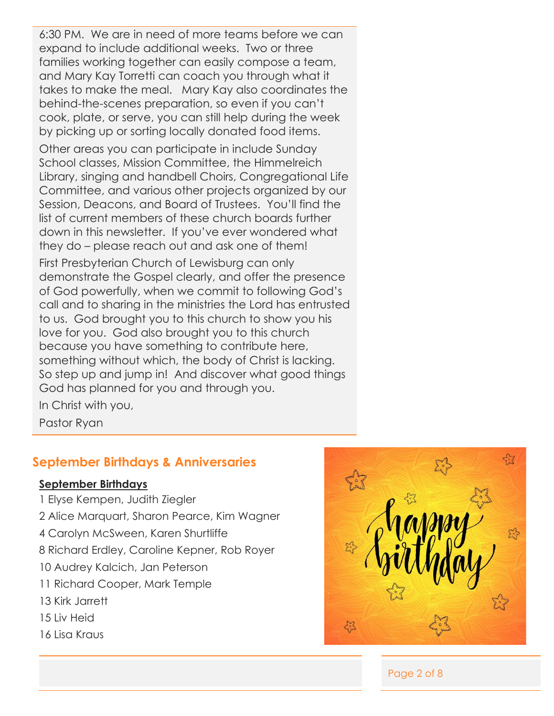6:30 PM. We are in need of more teams before we can expand to include additional weeks. Two or three families working together can easily compose a team, and Mary Kay Torretti can coach you through what it takes to make the meal. Mary Kay also coordinates the behind-the-scenes preparation, so even if you can't cook, plate, or serve, you can still help during the week by picking up or sorting locally donated food items.

Other areas you can participate in include Sunday School classes, Mission Committee, the Himmelreich Library, singing and handbell Choirs, Congregational Life Committee, and various other projects organized by our Session, Deacons, and Board of Trustees. You'll find the list of current members of these church boards further down in this newsletter. If you've ever wondered what they do – please reach out and ask one of them!

First Presbyterian Church of Lewisburg can only demonstrate the Gospel clearly, and offer the presence of God powerfully, when we commit to following God's call and to sharing in the ministries the Lord has entrusted to us. God brought you to this church to show you his love for you. God also brought you to this church because you have something to contribute here, something without which, the body of Christ is lacking. So step up and jump in! And discover what good things God has planned for you and through you.

In Christ with you,

Pastor Ryan

### **September Birthdays & Anniversaries**

#### **September Birthdays**

- 1 Elyse Kempen, Judith Ziegler
- 2 Alice Marquart, Sharon Pearce, Kim Wagner
- 4 Carolyn McSween, Karen Shurtliffe
- 8 Richard Erdley, Caroline Kepner, Rob Royer
- 10 Audrey Kalcich, Jan Peterson
- 11 Richard Cooper, Mark Temple
- 13 Kirk Jarrett
- 15 Liv Heid
- 16 Lisa Kraus



Page 2 of 8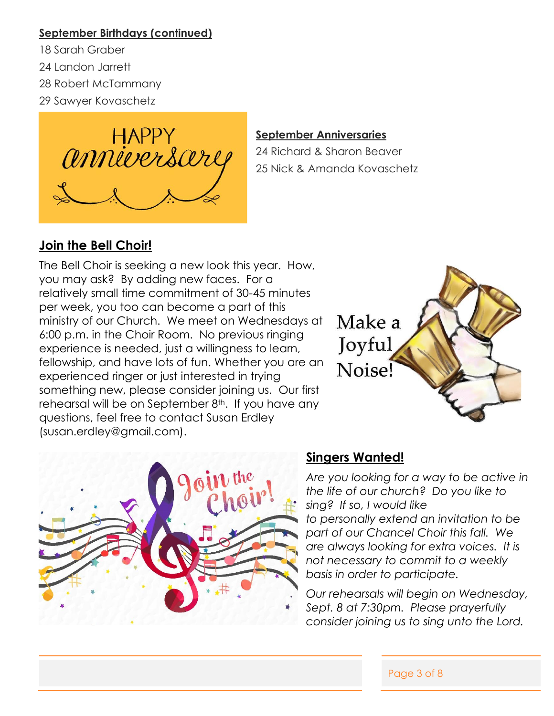#### **September Birthdays (continued)**

- 18 Sarah Graber
- 24 Landon Jarrett
- 28 Robert McTammany
- 29 Sawyer Kovaschetz



#### **September Anniversaries**

24 Richard & Sharon Beaver 25 Nick & Amanda Kovaschetz

## **Join the Bell Choir!**

The Bell Choir is seeking a new look this year. How, you may ask? By adding new faces. For a relatively small time commitment of 30-45 minutes per week, you too can become a part of this ministry of our Church. We meet on Wednesdays at 6:00 p.m. in the Choir Room. No previous ringing experience is needed, just a willingness to learn, fellowship, and have lots of fun. Whether you are an experienced ringer or just interested in trying something new, please consider joining us. Our first rehearsal will be on September  $8<sup>th</sup>$ . If you have any questions, feel free to contact Susan Erdley (susan.erdley@gmail.com).





### **Singers Wanted!**

*Are you looking for a way to be active in the life of our church? Do you like to sing? If so, I would like to personally extend an invitation to be part of our Chancel Choir this fall. We are always looking for extra voices. It is not necessary to commit to a weekly basis in order to participate.* 

*Our rehearsals will begin on Wednesday, Sept. 8 at 7:30pm. Please prayerfully consider joining us to sing unto the Lord.*

Page 3 of 8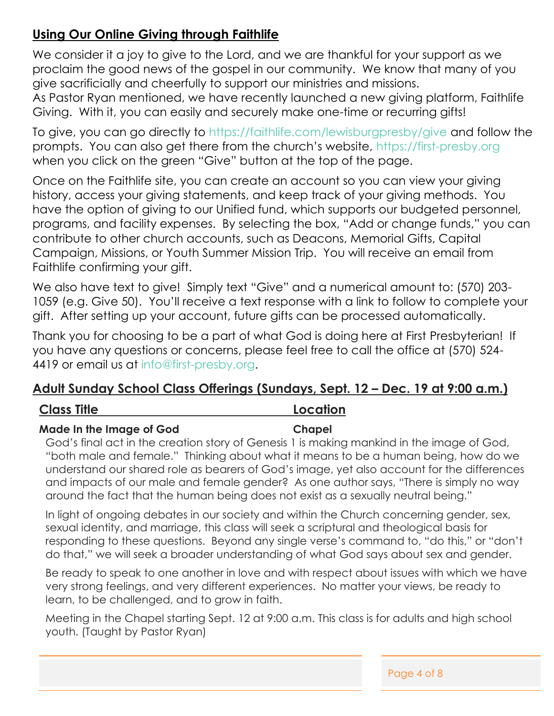## **Using Our Online Giving through Faithlife**

We consider it a joy to give to the Lord, and we are thankful for your support as we proclaim the good news of the gospel in our community. We know that many of you give sacrificially and cheerfully to support our ministries and missions.

As Pastor Ryan mentioned, we have recently launched a new giving platform, Faithlife Giving. With it, you can easily and securely make one-time or recurring gifts!

To give, you can go directly to<https://faithlife.com/lewisburgpresby/give> and follow the prompts. You can also get there from the church's website, [https://first-presby.org](https://first-presby.org/) when you click on the green "Give" button at the top of the page.

Once on the Faithlife site, you can create an account so you can view your giving history, access your giving statements, and keep track of your giving methods. You have the option of giving to our Unified fund, which supports our budgeted personnel, programs, and facility expenses. By selecting the box, "Add or change funds," you can contribute to other church accounts, such as Deacons, Memorial Gifts, Capital Campaign, Missions, or Youth Summer Mission Trip. You will receive an email from Faithlife confirming your gift.

We also have text to give! Simply text "Give" and a numerical amount to: (570) 203- 1059 (e.g. Give 50). You'll receive a text response with a link to follow to complete your gift. After setting up your account, future gifts can be processed automatically.

Thank you for choosing to be a part of what God is doing here at First Presbyterian! If you have any questions or concerns, please feel free to call the office at (570) 524- 4419 or email us at [info@first-presby.org.](mailto:info@first-presby.org)

### **Adult Sunday School Class Offerings (Sundays, Sept. 12 – Dec. 19 at 9:00 a.m.)**

#### **Class Title Location**

#### **Made In the Image of God Chapel**

God's final act in the creation story of Genesis 1 is making mankind in the image of God, "both male and female." Thinking about what it means to be a human being, how do we understand our shared role as bearers of God's image, yet also account for the differences and impacts of our male and female gender? As one author says, "There is simply no way around the fact that the human being does not exist as a sexually neutral being."

In light of ongoing debates in our society and within the Church concerning gender, sex, sexual identity, and marriage, this class will seek a scriptural and theological basis for responding to these questions. Beyond any single verse's command to, "do this," or "don't do that," we will seek a broader understanding of what God says about sex and gender.

Be ready to speak to one another in love and with respect about issues with which we have very strong feelings, and very different experiences. No matter your views, be ready to learn, to be challenged, and to grow in faith.

Meeting in the Chapel starting Sept. 12 at 9:00 a.m. This class is for adults and high school youth. (Taught by Pastor Ryan)

Page 4 of 8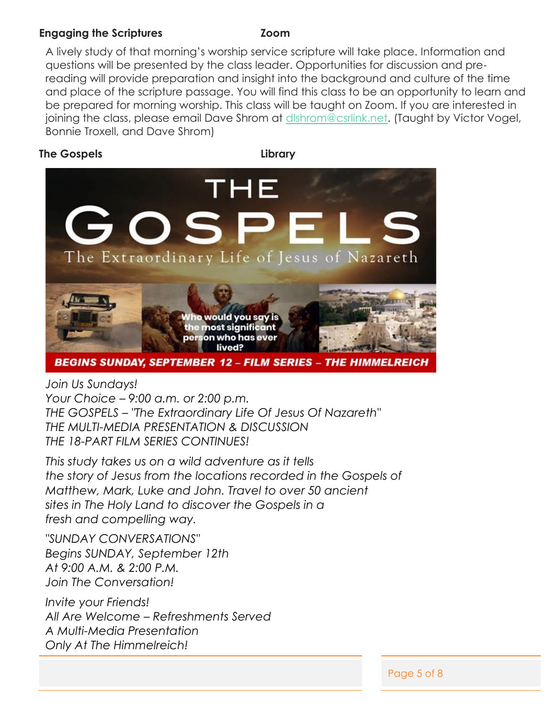#### **Engaging the Scriptures Zoom**

A lively study of that morning's worship service scripture will take place. Information and questions will be presented by the class leader. Opportunities for discussion and prereading will provide preparation and insight into the background and culture of the time and place of the scripture passage. You will find this class to be an opportunity to learn and be prepared for morning worship. This class will be taught on Zoom. If you are interested in joining the class, please email Dave Shrom at dishrom@csrlink.net. (Taught by Victor Vogel, Bonnie Troxell, and Dave Shrom)

#### **The Gospels Library**



**BEGINS SUNDAY, SEPTEMBER 12 - FILM SERIES - THE HIMMELREICH** 

*Join Us Sundays! Your Choice – 9:00 a.m. or 2:00 p.m. THE GOSPELS – "The Extraordinary Life Of Jesus Of Nazareth" THE MULTI-MEDIA PRESENTATION & DISCUSSION*

*THE 18-PART FILM SERIES CONTINUES!*

*This study takes us on a wild adventure as it tells the story of Jesus from the locations recorded in the Gospels of Matthew, Mark, Luke and John. Travel to over 50 ancient sites in The Holy Land to discover the Gospels in a fresh and compelling way.*

*"SUNDAY CONVERSATIONS" Begins SUNDAY, September 12th At 9:00 A.M. & 2:00 P.M. Join The Conversation!*

*Invite your Friends! All Are Welcome – Refreshments Served A Multi-Media Presentation Only At The Himmelreich!*

Page 5 of 8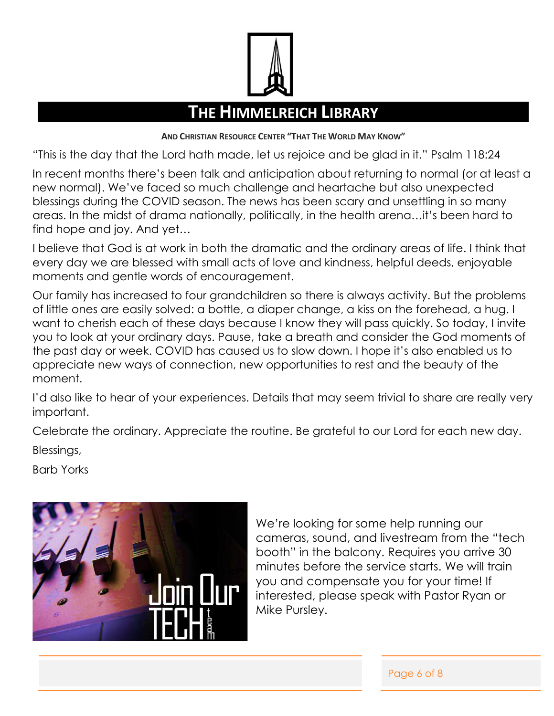

# **THE HIMMELREICH LIBRARY**

**AND CHRISTIAN RESOURCE CENTER "THAT THE WORLD MAY KNOW"**

"This is the day that the Lord hath made, let us rejoice and be glad in it." Psalm 118:24

In recent months there's been talk and anticipation about returning to normal (or at least a new normal). We've faced so much challenge and heartache but also unexpected blessings during the COVID season. The news has been scary and unsettling in so many areas. In the midst of drama nationally, politically, in the health arena…it's been hard to find hope and joy. And yet…

I believe that God is at work in both the dramatic and the ordinary areas of life. I think that every day we are blessed with small acts of love and kindness, helpful deeds, enjoyable moments and gentle words of encouragement.

Our family has increased to four grandchildren so there is always activity. But the problems of little ones are easily solved: a bottle, a diaper change, a kiss on the forehead, a hug. I want to cherish each of these days because I know they will pass quickly. So today, I invite you to look at your ordinary days. Pause, take a breath and consider the God moments of the past day or week. COVID has caused us to slow down. I hope it's also enabled us to appreciate new ways of connection, new opportunities to rest and the beauty of the moment.

I'd also like to hear of your experiences. Details that may seem trivial to share are really very important.

Celebrate the ordinary. Appreciate the routine. Be grateful to our Lord for each new day. Blessings,

Barb Yorks



We're looking for some help running our cameras, sound, and livestream from the "tech booth" in the balcony. Requires you arrive 30 minutes before the service starts. We will train you and compensate you for your time! If interested, please speak with Pastor Ryan or Mike Pursley.

Page 6 of 8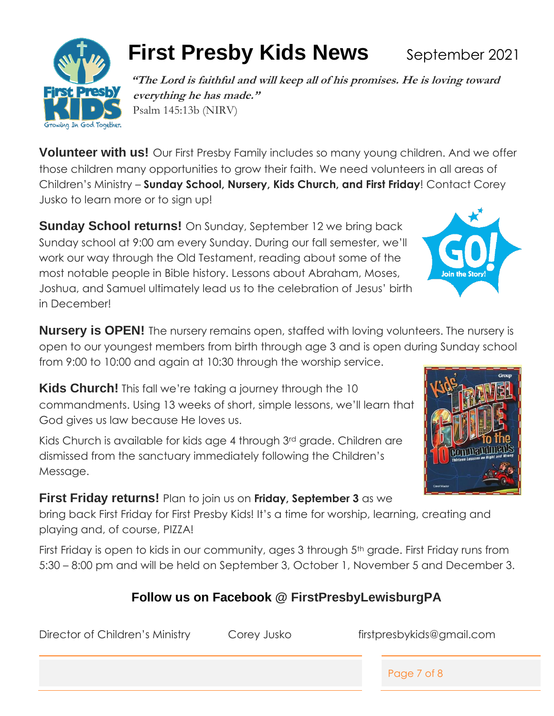Growing In God Together.

# **First Presby Kids News** September 2021

**"The Lord is faithful and will keep all of his promises. He is loving toward everything he has made."**  Psalm 145:13b (NIRV)

**Volunteer with us!** Our First Presby Family includes so many young children. And we offer those children many opportunities to grow their faith. We need volunteers in all areas of Children's Ministry – **Sunday School, Nursery, Kids Church, and First Friday**! Contact Corey Jusko to learn more or to sign up!

**Sunday School returns!** On Sunday, September 12 we bring back Sunday school at 9:00 am every Sunday. During our fall semester, we'll work our way through the Old Testament, reading about some of the most notable people in Bible history. Lessons about Abraham, Moses, Joshua, and Samuel ultimately lead us to the celebration of Jesus' birth in December!

**Nursery is OPEN!** The nursery remains open, staffed with loving volunteers. The nursery is open to our youngest members from birth through age 3 and is open during Sunday school from 9:00 to 10:00 and again at 10:30 through the worship service.

**Kids Church!** This fall we're taking a journey through the 10 commandments. Using 13 weeks of short, simple lessons, we'll learn that God gives us law because He loves us.

Kids Church is available for kids age 4 through 3rd grade. Children are dismissed from the sanctuary immediately following the Children's Message.

# **First Friday returns!** Plan to join us on **Friday, September 3** as we

bring back First Friday for First Presby Kids! It's a time for worship, learning, creating and playing and, of course, PIZZA!

First Friday is open to kids in our community, ages 3 through 5<sup>th</sup> grade. First Friday runs from 5:30 – 8:00 pm and will be held on September 3, October 1, November 5 and December 3.

# **Follow us on Facebook @ FirstPresbyLewisburgPA**

Director of Children's Ministry Corey Jusko firstpresbykids@gmail.com

Page 7 of 8